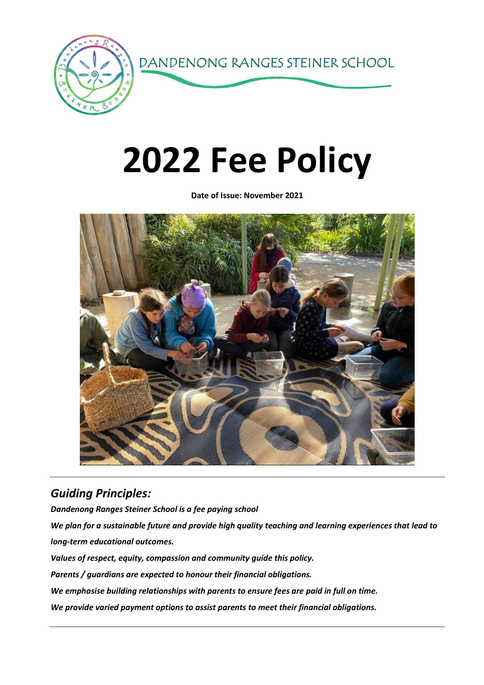

# **2022 Fee Policy**

**Date of Issue: November 2021**



# *Guiding Principles:*

*Dandenong Ranges Steiner School is a fee paying school We plan for a sustainable future and provide high quality teaching and learning experiences that lead to long-term educational outcomes. Values of respect, equity, compassion and community guide this policy. Parents / guardians are expected to honour their financial obligations. We emphasise building relationships with parents to ensure fees are paid in full on time. We provide varied payment options to assist parents to meet their financial obligations.*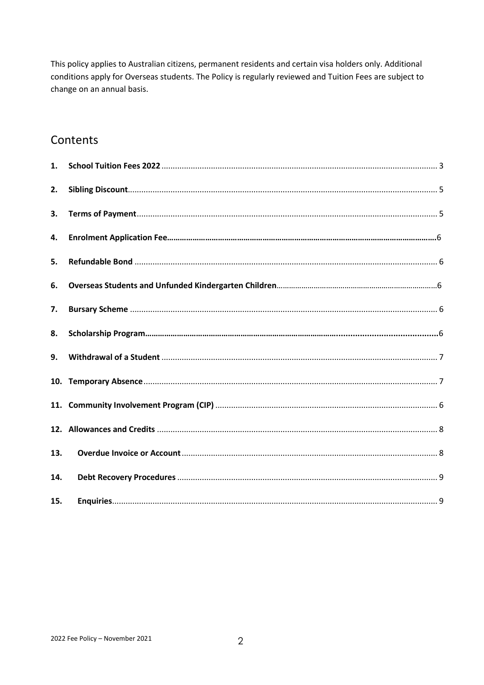This policy applies to Australian citizens, permanent residents and certain visa holders only. Additional conditions apply for Overseas students. The Policy is regularly reviewed and Tuition Fees are subject to change on an annual basis.

## Contents

<span id="page-1-0"></span>

| 1.  |  |
|-----|--|
| 2.  |  |
| 3.  |  |
| 4.  |  |
| 5.  |  |
| 6.  |  |
| 7.  |  |
| 8.  |  |
| 9.  |  |
|     |  |
|     |  |
|     |  |
| 13. |  |
| 14. |  |
| 15. |  |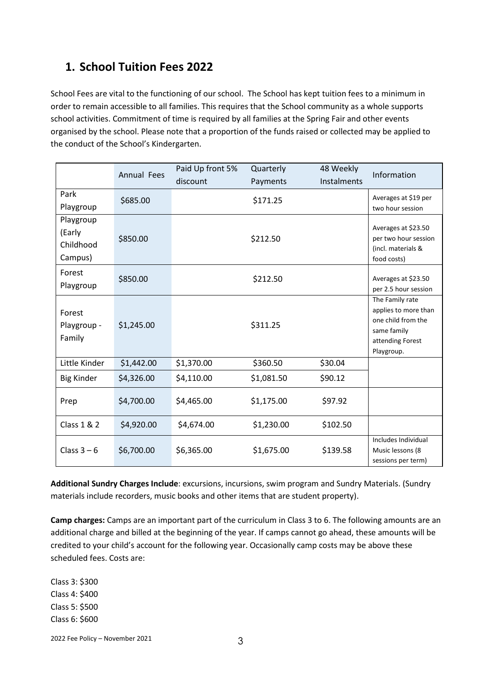## **1. School Tuition Fees 2022**

School Fees are vital to the functioning of our school. The School has kept tuition fees to a minimum in order to remain accessible to all families. This requires that the School community as a whole supports school activities. Commitment of time is required by all families at the Spring Fair and other events organised by the school. Please note that a proportion of the funds raised or collected may be applied to the conduct of the School's Kindergarten.

|                                             | <b>Annual Fees</b> | Paid Up front 5%<br>discount | Quarterly<br>Payments | 48 Weekly<br>Instalments | Information                                                                                                    |
|---------------------------------------------|--------------------|------------------------------|-----------------------|--------------------------|----------------------------------------------------------------------------------------------------------------|
| Park<br>Playgroup                           | \$685.00           |                              | \$171.25              |                          | Averages at \$19 per<br>two hour session                                                                       |
| Playgroup<br>(Early<br>Childhood<br>Campus) | \$850.00           |                              | \$212.50              |                          | Averages at \$23.50<br>per two hour session<br>(incl. materials &<br>food costs)                               |
| Forest<br>Playgroup                         | \$850.00           |                              | \$212.50              |                          | Averages at \$23.50<br>per 2.5 hour session                                                                    |
| Forest<br>Playgroup -<br>Family             | \$1,245.00         |                              | \$311.25              |                          | The Family rate<br>applies to more than<br>one child from the<br>same family<br>attending Forest<br>Playgroup. |
| Little Kinder                               | \$1,442.00         | \$1,370.00                   | \$360.50              | \$30.04                  |                                                                                                                |
| <b>Big Kinder</b>                           | \$4,326.00         | \$4,110.00                   | \$1,081.50            | \$90.12                  |                                                                                                                |
| Prep                                        | \$4,700.00         | \$4,465.00                   | \$1,175.00            | \$97.92                  |                                                                                                                |
| Class 1 & 2                                 | \$4,920.00         | \$4,674.00                   | \$1,230.00            | \$102.50                 |                                                                                                                |
| Class $3-6$                                 | \$6,700.00         | \$6,365.00                   | \$1,675.00            | \$139.58                 | Includes Individual<br>Music lessons (8<br>sessions per term)                                                  |

**Additional Sundry Charges Include**: excursions, incursions, swim program and Sundry Materials. (Sundry materials include recorders, music books and other items that are student property).

**Camp charges:** Camps are an important part of the curriculum in Class 3 to 6. The following amounts are an additional charge and billed at the beginning of the year. If camps cannot go ahead, these amounts will be credited to your child's account for the following year. Occasionally camp costs may be above these scheduled fees. Costs are:

Class 3: \$300 Class 4: \$400 Class 5: \$500 Class 6: \$600

2022 Fee Policy – November 2021  $\overline{3}$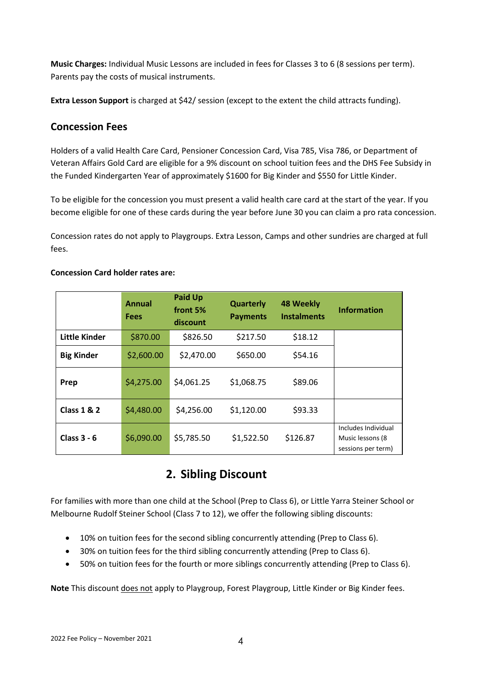**Music Charges:** Individual Music Lessons are included in fees for Classes 3 to 6 (8 sessions per term). Parents pay the costs of musical instruments.

**Extra Lesson Support** is charged at \$42/ session (except to the extent the child attracts funding).

#### **Concession Fees**

Holders of a valid Health Care Card, Pensioner Concession Card, Visa 785, Visa 786, or Department of Veteran Affairs Gold Card are eligible for a 9% discount on school tuition fees and the DHS Fee Subsidy in the Funded Kindergarten Year of approximately \$1600 for Big Kinder and \$550 for Little Kinder.

To be eligible for the concession you must present a valid health care card at the start of the year. If you become eligible for one of these cards during the year before June 30 you can claim a pro rata concession.

Concession rates do not apply to Playgroups. Extra Lesson, Camps and other sundries are charged at full fees.

#### **Concession Card holder rates are:**

|                        | Annual<br>Fees | <b>Paid Up</b><br>front 5%<br>discount | <b>Quarterly</b><br><b>Payments</b> | <b>48 Weekly</b><br><b>Instalments</b> | <b>Information</b>                                             |
|------------------------|----------------|----------------------------------------|-------------------------------------|----------------------------------------|----------------------------------------------------------------|
| <b>Little Kinder</b>   | \$870.00       | \$826.50                               | \$217.50                            | \$18.12                                |                                                                |
| <b>Big Kinder</b>      | \$2,600.00     | \$2,470.00                             | \$650.00                            | \$54.16                                |                                                                |
| Prep                   | \$4,275.00     | \$4,061.25                             | \$1,068.75                          | \$89.06                                |                                                                |
| <b>Class 1 &amp; 2</b> | \$4,480.00     | \$4,256.00                             | \$1,120.00                          | \$93.33                                |                                                                |
| Class $3 - 6$          | \$6,090.00     | \$5,785.50                             | \$1,522.50                          | \$126.87                               | Includes Individual<br>Music lessons (8)<br>sessions per term) |

## **2. Sibling Discount**

For families with more than one child at the School (Prep to Class 6), or Little Yarra Steiner School or Melbourne Rudolf Steiner School (Class 7 to 12), we offer the following sibling discounts:

- 10% on tuition fees for the second sibling concurrently attending (Prep to Class 6).
- 30% on tuition fees for the third sibling concurrently attending (Prep to Class 6).
- 50% on tuition fees for the fourth or more siblings concurrently attending (Prep to Class 6).

**Note** This discount does not apply to Playgroup, Forest Playgroup, Little Kinder or Big Kinder fees.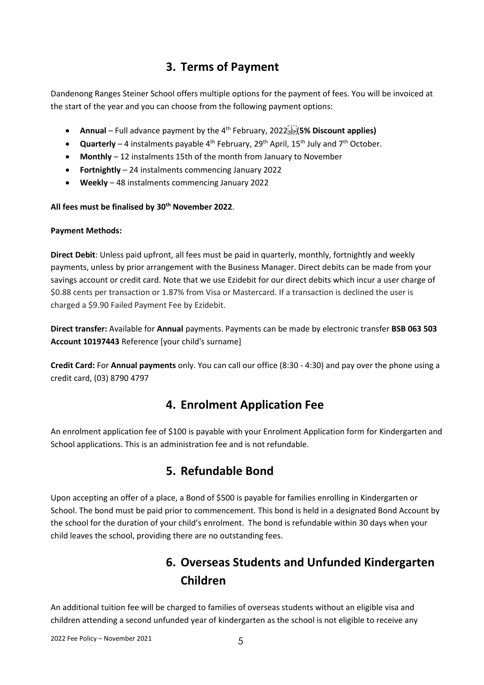# **3. Terms of Payment**

<span id="page-4-0"></span>Dandenong Ranges Steiner School offers multiple options for the payment of fees. You will be invoiced at the start of the year and you can choose from the following payment options:

- **Annual** Full advance payment by the 4<sup>th</sup> February, 2022<sup>[17]</sup> (5% Discount applies)
- **Quarterly** 4 instalments payable 4<sup>th</sup> February, 29<sup>th</sup> April, 15<sup>th</sup> July and 7<sup>th</sup> October.
- **Monthly**  12 instalments 15th of the month from January to November
- **Fortnightly**  24 instalments commencing January 2022
- **Weekly** 48 instalments commencing January 2022

#### **All fees must be finalised by 30th November 2022**.

#### **Payment Methods:**

**Direct Debit**: Unless paid upfront, all fees must be paid in quarterly, monthly, fortnightly and weekly payments, unless by prior arrangement with the Business Manager. Direct debits can be made from your savings account or credit card. Note that we use Ezidebit for our direct debits which incur a user charge of \$0.88 cents per transaction or 1.87% from Visa or Mastercard. If a transaction is declined the user is charged a \$9.90 Failed Payment Fee by Ezidebit.

**Direct transfer:** Available for **Annual** payments. Payments can be made by electronic transfer **BSB 063 503 Account 10197443** Reference [your child's surname]

**Credit Card:** For **Annual payments** only. You can call our office (8:30 - 4:30) and pay over the phone using a credit card, (03) 8790 4797

#### **4. Enrolment Application Fee**

<span id="page-4-1"></span>An enrolment application fee of \$100 is payable with your Enrolment Application form for Kindergarten and School applications. This is an administration fee and is not refundable.

## **5. Refundable Bond**

Upon accepting an offer of a place, a Bond of \$500 is payable for families enrolling in Kindergarten or School. The bond must be paid prior to commencement. This bond is held in a designated Bond Account by the school for the duration of your child's enrolment. The bond is refundable within 30 days when your child leaves the school, providing there are no outstanding fees.

# **6. Overseas Students and Unfunded Kindergarten Children**

An additional tuition fee will be charged to families of overseas students without an eligible visa and children attending a second unfunded year of kindergarten as the school is not eligible to receive any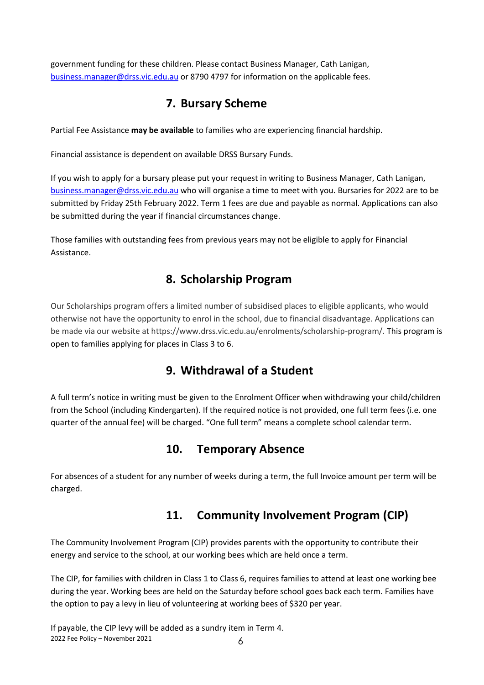government funding for these children. Please contact Business Manager, Cath Lanigan, [business.manager@drss.vic.edu.au](mailto:business.manager@drss.vic.edu.au) or 8790 4797 for information on the applicable fees.

# **7. Bursary Scheme**

<span id="page-5-0"></span>Partial Fee Assistance **may be available** to families who are experiencing financial hardship.

Financial assistance is dependent on available DRSS Bursary Funds.

If you wish to apply for a bursary please put your request in writing to Business Manager, Cath Lanigan, [business.manager@drss.vic.edu.au](mailto:business.manager@drss.vic.edu.au) who will organise a time to meet with you. Bursaries for 2022 are to be submitted by Friday 25th February 2022. Term 1 fees are due and payable as normal. Applications can also be submitted during the year if financial circumstances change.

Those families with outstanding fees from previous years may not be eligible to apply for Financial Assistance.

# **8. Scholarship Program**

<span id="page-5-1"></span>Our Scholarships program offers a limited number of subsidised places to eligible applicants, who would otherwise not have the opportunity to enrol in the school, due to financial disadvantage. Applications can be made via our website at https://www.drss.vic.edu.au/enrolments/scholarship-program/. This program is open to families applying for places in Class 3 to 6.

# **9. Withdrawal of a Student**

A full term's notice in writing must be given to the Enrolment Officer when withdrawing your child/children from the School (including Kindergarten). If the required notice is not provided, one full term fees (i.e. one quarter of the annual fee) will be charged. "One full term" means a complete school calendar term.

## **10. Temporary Absence**

<span id="page-5-2"></span>For absences of a student for any number of weeks during a term, the full Invoice amount per term will be charged.

# **11. Community Involvement Program (CIP)**

<span id="page-5-3"></span>The Community Involvement Program (CIP) provides parents with the opportunity to contribute their energy and service to the school, at our working bees which are held once a term.

The CIP, for families with children in Class 1 to Class 6, requires families to attend at least one working bee during the year. Working bees are held on the Saturday before school goes back each term. Families have the option to pay a levy in lieu of volunteering at working bees of \$320 per year.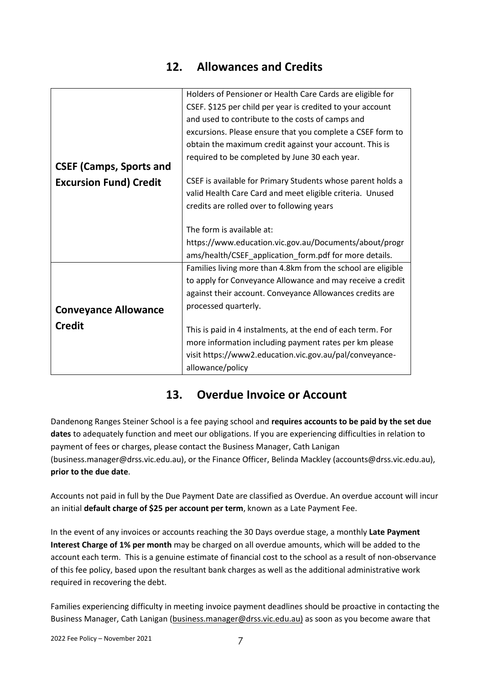## **12. Allowances and Credits**

<span id="page-6-0"></span>

|                                | Holders of Pensioner or Health Care Cards are eligible for   |
|--------------------------------|--------------------------------------------------------------|
|                                | CSEF. \$125 per child per year is credited to your account   |
|                                | and used to contribute to the costs of camps and             |
|                                | excursions. Please ensure that you complete a CSEF form to   |
|                                | obtain the maximum credit against your account. This is      |
|                                | required to be completed by June 30 each year.               |
| <b>CSEF (Camps, Sports and</b> |                                                              |
| <b>Excursion Fund) Credit</b>  | CSEF is available for Primary Students whose parent holds a  |
|                                | valid Health Care Card and meet eligible criteria. Unused    |
|                                | credits are rolled over to following years                   |
|                                |                                                              |
|                                | The form is available at:                                    |
|                                | https://www.education.vic.gov.au/Documents/about/progr       |
|                                | ams/health/CSEF_application_form.pdf for more details.       |
|                                | Families living more than 4.8km from the school are eligible |
|                                | to apply for Conveyance Allowance and may receive a credit   |
|                                | against their account. Conveyance Allowances credits are     |
| <b>Conveyance Allowance</b>    | processed quarterly.                                         |
| <b>Credit</b>                  |                                                              |
|                                | This is paid in 4 instalments, at the end of each term. For  |
|                                | more information including payment rates per km please       |
|                                | visit https://www2.education.vic.gov.au/pal/conveyance-      |
|                                | allowance/policy                                             |

## **13. Overdue Invoice or Account**

<span id="page-6-1"></span>Dandenong Ranges Steiner School is a fee paying school and **requires accounts to be paid by the set due dates** to adequately function and meet our obligations. If you are experiencing difficulties in relation to payment of fees or charges, please contact the Business Manager, Cath Lanigan (business.manager@drss.vic.edu.au), or the Finance Officer, Belinda Mackley (accounts@drss.vic.edu.au), **prior to the due date**.

Accounts not paid in full by the Due Payment Date are classified as Overdue. An overdue account will incur an initial **default charge of \$25 per account per term**, known as a Late Payment Fee.

In the event of any invoices or accounts reaching the 30 Days overdue stage, a monthly **Late Payment Interest Charge of 1% per month** may be charged on all overdue amounts, which will be added to the account each term. This is a genuine estimate of financial cost to the school as a result of non-observance of this fee policy, based upon the resultant bank charges as well as the additional administrative work required in recovering the debt.

Families experiencing difficulty in meeting invoice payment deadlines should be proactive in contacting the Business Manager, Cath Lanigan [\(business.manager@drss.vic.edu.au\)](mailto:business.manager@drss.vic.edu.au) as soon as you become aware that